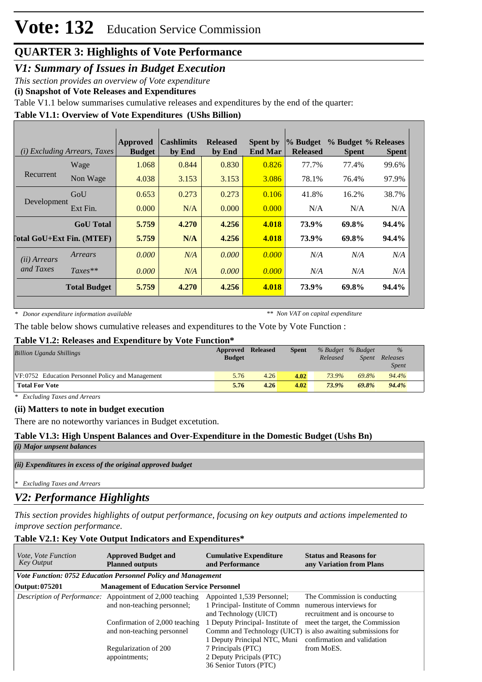# **Vote: 132** Education Service Commission

## **QUARTER 3: Highlights of Vote Performance**

*V1: Summary of Issues in Budget Execution*

*This section provides an overview of Vote expenditure* 

**(i) Snapshot of Vote Releases and Expenditures**

Table V1.1 below summarises cumulative releases and expenditures by the end of the quarter:

#### **Table V1.1: Overview of Vote Expenditures (UShs Billion)**

|                                  | ( <i>i</i> ) Excluding Arrears, Taxes | <b>Approved</b><br><b>Budget</b> | <b>Cashlimits</b><br>by End | <b>Released</b><br>by End | <b>Spent by</b><br><b>End Mar</b> | % Budget<br><b>Released</b> | % Budget % Releases<br><b>Spent</b> | <b>Spent</b> |
|----------------------------------|---------------------------------------|----------------------------------|-----------------------------|---------------------------|-----------------------------------|-----------------------------|-------------------------------------|--------------|
|                                  | Wage                                  | 1.068                            | 0.844                       | 0.830                     | 0.826                             | 77.7%                       | 77.4%                               | 99.6%        |
| Recurrent                        | Non Wage                              | 4.038                            | 3.153                       | 3.153                     | 3.086                             | 78.1%                       | 76.4%                               | 97.9%        |
|                                  | GoU                                   | 0.653                            | 0.273                       | 0.273                     | 0.106                             | 41.8%                       | 16.2%                               | 38.7%        |
| Development                      | Ext Fin.                              | 0.000                            | N/A                         | 0.000                     | 0.000                             | N/A                         | N/A                                 | N/A          |
|                                  | <b>GoU</b> Total                      | 5.759                            | 4.270                       | 4.256                     | 4.018                             | 73.9%                       | 69.8%                               | 94.4%        |
| <b>Total GoU+Ext Fin. (MTEF)</b> |                                       | 5.759                            | N/A                         | 4.256                     | 4.018                             | 73.9%                       | 69.8%                               | 94.4%        |
| ( <i>ii</i> ) Arrears            | Arrears                               | 0.000                            | N/A                         | 0.000                     | 0.000                             | N/A                         | N/A                                 | N/A          |
| and Taxes                        | $Taxes**$                             | 0.000                            | N/A                         | 0.000                     | 0.000                             | N/A                         | N/A                                 | N/A          |
|                                  | <b>Total Budget</b>                   | 5.759                            | 4.270                       | 4.256                     | 4.018                             | 73.9%                       | 69.8%                               | 94.4%        |

*\* Donor expenditure information available*

*\*\* Non VAT on capital expenditure*

The table below shows cumulative releases and expenditures to the Vote by Vote Function :

#### **Table V1.2: Releases and Expenditure by Vote Function\***

| <b>Billion Uganda Shillings</b>                   | Approved<br><b>Budget</b> | <b>Released</b> | <b>Spent</b> | % Budget % Budget<br>Released | <b>Spent</b> | $\%$<br>Releases<br><i>Spent</i> |
|---------------------------------------------------|---------------------------|-----------------|--------------|-------------------------------|--------------|----------------------------------|
| VF:0752 Education Personnel Policy and Management | 5.76                      | 4.26            | 4.02         | 73.9%                         | 69.8%        | 94.4%                            |
| <b>Total For Vote</b>                             | 5.76                      | 4.26            | 4.02         | 73.9%                         | 69.8%        | 94.4%                            |

*\* Excluding Taxes and Arrears*

#### **(ii) Matters to note in budget execution**

There are no noteworthy variances in Budget excetution.

#### **Table V1.3: High Unspent Balances and Over-Expenditure in the Domestic Budget (Ushs Bn)**

*(i) Major unpsent balances*

*(ii) Expenditures in excess of the original approved budget*

*\* Excluding Taxes and Arrears*

### *V2: Performance Highlights*

*This section provides highlights of output performance, focusing on key outputs and actions impelemented to improve section performance.*

#### **Table V2.1: Key Vote Output Indicators and Expenditures\***

| <i>Vote, Vote Function</i><br><b>Key Output</b> | <b>Approved Budget and</b><br><b>Planned outputs</b>                                            | <b>Cumulative Expenditure</b><br>and Performance                                                               | <b>Status and Reasons for</b><br>any Variation from Plans                                                                      |
|-------------------------------------------------|-------------------------------------------------------------------------------------------------|----------------------------------------------------------------------------------------------------------------|--------------------------------------------------------------------------------------------------------------------------------|
|                                                 | Vote Function: 0752 Education Personnel Policy and Management                                   |                                                                                                                |                                                                                                                                |
| Output: 075201                                  | <b>Management of Education Service Personnel</b>                                                |                                                                                                                |                                                                                                                                |
|                                                 | <i>Description of Performance:</i> Appointment of 2,000 teaching<br>and non-teaching personnel; | Appointed 1,539 Personnel;<br>1 Principal- Institute of Commn numerous interviews for<br>and Technology (UICT) | The Commission is conducting<br>recruitment and is oncourse to                                                                 |
|                                                 | Confirmation of 2,000 teaching<br>and non-teaching personnel                                    | 1 Deputy Principal-Institute of<br>1 Deputy Principal NTC, Muni                                                | meet the target, the Commission<br>Commn and Technology (UICT) is also awaiting submissions for<br>confirmation and validation |
|                                                 | Regularization of 200<br>appointments;                                                          | 7 Principals (PTC)<br>2 Deputy Pricipals (PTC)<br>36 Senior Tutors (PTC)                                       | from MoES.                                                                                                                     |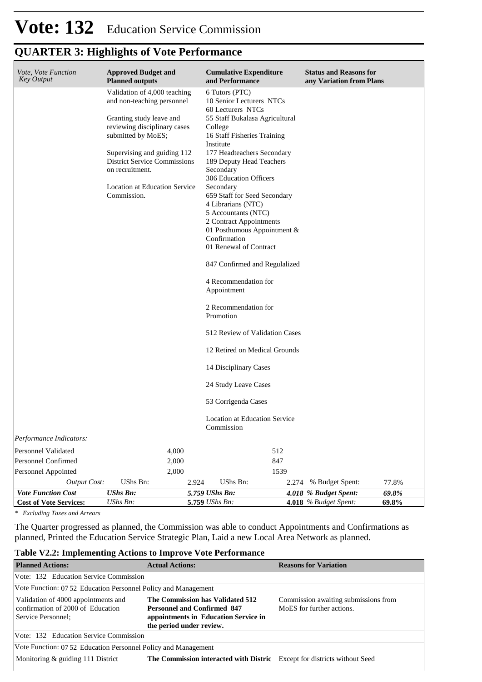## **QUARTER 3: Highlights of Vote Performance**

| Vote, Vote Function<br><b>Key Output</b> | <b>Approved Budget and</b><br><b>Planned outputs</b>   |       | <b>Cumulative Expenditure</b><br>and Performance    | <b>Status and Reasons for</b><br>any Variation from Plans |       |
|------------------------------------------|--------------------------------------------------------|-------|-----------------------------------------------------|-----------------------------------------------------------|-------|
|                                          | Validation of 4,000 teaching                           |       | 6 Tutors (PTC)                                      |                                                           |       |
|                                          | and non-teaching personnel                             |       | 10 Senior Lecturers NTCs                            |                                                           |       |
|                                          | Granting study leave and                               |       | 60 Lecturers NTCs<br>55 Staff Bukalasa Agricultural |                                                           |       |
|                                          | reviewing disciplinary cases                           |       | College                                             |                                                           |       |
|                                          | submitted by MoES;                                     |       | 16 Staff Fisheries Training                         |                                                           |       |
|                                          |                                                        |       | Institute                                           |                                                           |       |
|                                          | Supervising and guiding 112                            |       | 177 Headteachers Secondary                          |                                                           |       |
|                                          | <b>District Service Commissions</b><br>on recruitment. |       | 189 Deputy Head Teachers<br>Secondary               |                                                           |       |
|                                          |                                                        |       | 306 Education Officers                              |                                                           |       |
|                                          | <b>Location at Education Service</b>                   |       | Secondary                                           |                                                           |       |
|                                          | Commission.                                            |       | 659 Staff for Seed Secondary                        |                                                           |       |
|                                          |                                                        |       | 4 Librarians (NTC)                                  |                                                           |       |
|                                          |                                                        |       | 5 Accountants (NTC)<br>2 Contract Appointments      |                                                           |       |
|                                          |                                                        |       | 01 Posthumous Appointment &                         |                                                           |       |
|                                          |                                                        |       | Confirmation                                        |                                                           |       |
|                                          |                                                        |       | 01 Renewal of Contract                              |                                                           |       |
|                                          |                                                        |       | 847 Confirmed and Regulalized                       |                                                           |       |
|                                          |                                                        |       | 4 Recommendation for<br>Appointment                 |                                                           |       |
|                                          |                                                        |       | 2 Recommendation for<br>Promotion                   |                                                           |       |
|                                          |                                                        |       | 512 Review of Validation Cases                      |                                                           |       |
|                                          |                                                        |       | 12 Retired on Medical Grounds                       |                                                           |       |
|                                          |                                                        |       | 14 Disciplinary Cases                               |                                                           |       |
|                                          |                                                        |       | 24 Study Leave Cases                                |                                                           |       |
|                                          |                                                        |       | 53 Corrigenda Cases                                 |                                                           |       |
|                                          |                                                        |       | <b>Location at Education Service</b><br>Commission  |                                                           |       |
| Performance Indicators:                  |                                                        |       |                                                     |                                                           |       |
| Personnel Validated                      | 4,000                                                  |       | 512                                                 |                                                           |       |
| <b>Personnel Confirmed</b>               | 2,000                                                  |       | 847                                                 |                                                           |       |
| Personnel Appointed                      | 2,000                                                  |       | 1539                                                |                                                           |       |
| <b>Output Cost:</b>                      | <b>UShs Bn:</b>                                        | 2.924 | UShs Bn:<br>2.274                                   | % Budget Spent:                                           | 77.8% |
| <b>Vote Function Cost</b>                | <b>UShs Bn:</b>                                        |       | 5.759 UShs Bn:                                      | 4.018 % Budget Spent:                                     | 69.8% |
| <b>Cost of Vote Services:</b>            | UShs Bn:                                               |       | 5.759 UShs Bn:                                      | 4.018 % Budget Spent:                                     | 69.8% |

*\* Excluding Taxes and Arrears*

The Quarter progressed as planned, the Commission was able to conduct Appointments and Confirmations as planned, Printed the Education Service Strategic Plan, Laid a new Local Area Network as planned.

#### **Table V2.2: Implementing Actions to Improve Vote Performance**

| <b>Planned Actions:</b>                                                                        | <b>Actual Actions:</b>                                                                                                                     | <b>Reasons for Variation</b>                                      |
|------------------------------------------------------------------------------------------------|--------------------------------------------------------------------------------------------------------------------------------------------|-------------------------------------------------------------------|
| Vote: 132 Education Service Commission                                                         |                                                                                                                                            |                                                                   |
| Vote Function: 07.52 Education Personnel Policy and Management                                 |                                                                                                                                            |                                                                   |
| Validation of 4000 appointments and<br>confirmation of 2000 of Education<br>Service Personnel; | The Commission has Validated 512<br><b>Personnel and Confirmed 847</b><br>appointments in Education Service in<br>the period under review. | Commission awaiting submissions from<br>MoES for further actions. |
| Vote: 132 Education Service Commission                                                         |                                                                                                                                            |                                                                   |
| Vote Function: 0752 Education Personnel Policy and Management                                  |                                                                                                                                            |                                                                   |
| Monitoring $\&$ guiding 111 District                                                           | <b>The Commission interacted with Distric</b> Except for districts without Seed                                                            |                                                                   |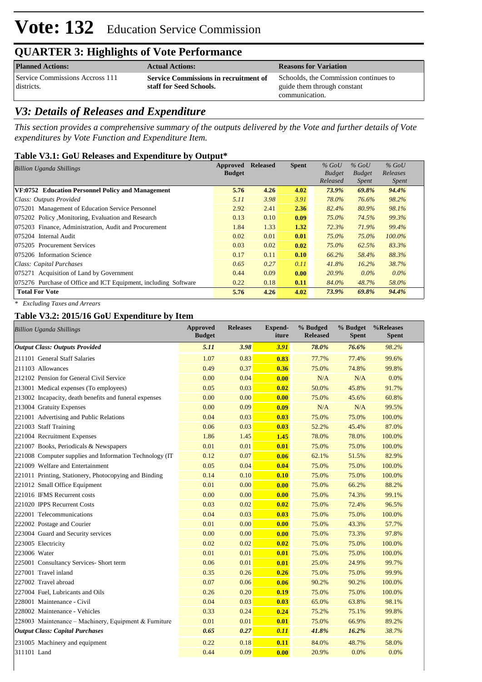# **Vote: 132** Education Service Commission

### **QUARTER 3: Highlights of Vote Performance**

| <b>Planned Actions:</b>                       | <b>Actual Actions:</b>                                                  | <b>Reasons for Variation</b>                                                           |
|-----------------------------------------------|-------------------------------------------------------------------------|----------------------------------------------------------------------------------------|
| Service Commissions Accross 111<br>districts. | <b>Service Commissions in recruitment of</b><br>staff for Seed Schools. | Schoolds, the Commission continues to<br>guide them through constant<br>communication. |

### *V3: Details of Releases and Expenditure*

*This section provides a comprehensive summary of the outputs delivered by the Vote and further details of Vote expenditures by Vote Function and Expenditure Item.*

#### **Table V3.1: GoU Releases and Expenditure by Output\***

| <b>Billion Uganda Shillings</b>                                 | Approved      | <b>Released</b> | <b>Spent</b> | $%$ GoU       | $%$ GoU       | $%$ GoU      |
|-----------------------------------------------------------------|---------------|-----------------|--------------|---------------|---------------|--------------|
|                                                                 | <b>Budget</b> |                 |              | <b>Budget</b> | <b>Budget</b> | Releases     |
|                                                                 |               |                 |              | Released      | <i>Spent</i>  | <i>Spent</i> |
| VF:0752 Education Personnel Policy and Management               | 5.76          | 4.26            | 4.02         | 73.9%         | 69.8%         | 94.4%        |
| Class: Outputs Provided                                         | 5.11          | 3.98            | 3.91         | 78.0%         | 76.6%         | 98.2%        |
| 075201 Management of Education Service Personnel                | 2.92          | 2.41            | 2.36         | 82.4%         | 80.9%         | 98.1%        |
| 075202 Policy, Monitoring, Evaluation and Research              | 0.13          | 0.10            | 0.09         | 75.0%         | 74.5%         | 99.3%        |
| 075203 Finance, Administration, Audit and Procurement           | 1.84          | 1.33            | 1.32         | 72.3%         | 71.9%         | 99.4%        |
| 075204 Internal Audit                                           | 0.02          | 0.01            | 0.01         | 75.0%         | 75.0%         | $100.0\%$    |
| 075205 Procurement Services                                     | 0.03          | 0.02            | 0.02         | 75.0%         | 62.5%         | 83.3%        |
| 075206 Information Science                                      | 0.17          | 0.11            | 0.10         | 66.2%         | 58.4%         | 88.3%        |
| Class: Capital Purchases                                        | 0.65          | 0.27            | 0.11         | 41.8%         | 16.2%         | 38.7%        |
| 075271 Acquisition of Land by Government                        | 0.44          | 0.09            | 0.00         | 20.9%         | $0.0\%$       | $0.0\%$      |
| 075276 Purchase of Office and ICT Equipment, including Software | 0.22          | 0.18            | 0.11         | 84.0%         | 48.7%         | 58.0%        |
| <b>Total For Vote</b>                                           | 5.76          | 4.26            | 4.02         | 73.9%         | 69.8%         | 94.4%        |

*\* Excluding Taxes and Arrears*

#### **Table V3.2: 2015/16 GoU Expenditure by Item**

| <b>Billion Uganda Shillings</b>                          | <b>Approved</b><br><b>Budget</b> | <b>Releases</b> | <b>Expend-</b><br>iture | % Budged<br><b>Released</b> | % Budget<br><b>Spent</b> | %Releases<br><b>Spent</b> |
|----------------------------------------------------------|----------------------------------|-----------------|-------------------------|-----------------------------|--------------------------|---------------------------|
| <b>Output Class: Outputs Provided</b>                    | 5.11                             | 3.98            | 3.91                    | 78.0%                       | 76.6%                    | 98.2%                     |
| 211101 General Staff Salaries                            | 1.07                             | 0.83            | 0.83                    | 77.7%                       | 77.4%                    | 99.6%                     |
| 211103 Allowances                                        | 0.49                             | 0.37            | 0.36                    | 75.0%                       | 74.8%                    | 99.8%                     |
| 212102 Pension for General Civil Service                 | 0.00                             | 0.04            | 0.00                    | N/A                         | N/A                      | 0.0%                      |
| 213001 Medical expenses (To employees)                   | 0.05                             | 0.03            | 0.02                    | 50.0%                       | 45.8%                    | 91.7%                     |
| 213002 Incapacity, death benefits and funeral expenses   | 0.00                             | 0.00            | 0.00                    | 75.0%                       | 45.6%                    | 60.8%                     |
| 213004 Gratuity Expenses                                 | 0.00                             | 0.09            | 0.09                    | N/A                         | N/A                      | 99.5%                     |
| 221001 Advertising and Public Relations                  | 0.04                             | 0.03            | 0.03                    | 75.0%                       | 75.0%                    | 100.0%                    |
| 221003 Staff Training                                    | 0.06                             | 0.03            | 0.03                    | 52.2%                       | 45.4%                    | 87.0%                     |
| 221004 Recruitment Expenses                              | 1.86                             | 1.45            | 1.45                    | 78.0%                       | 78.0%                    | 100.0%                    |
| 221007 Books, Periodicals & Newspapers                   | 0.01                             | 0.01            | 0.01                    | 75.0%                       | 75.0%                    | 100.0%                    |
| 221008 Computer supplies and Information Technology (IT) | 0.12                             | 0.07            | 0.06                    | 62.1%                       | 51.5%                    | 82.9%                     |
| 221009 Welfare and Entertainment                         | 0.05                             | 0.04            | 0.04                    | 75.0%                       | 75.0%                    | 100.0%                    |
| 221011 Printing, Stationery, Photocopying and Binding    | 0.14                             | 0.10            | 0.10                    | 75.0%                       | 75.0%                    | 100.0%                    |
| 221012 Small Office Equipment                            | 0.01                             | 0.00            | 0.00                    | 75.0%                       | 66.2%                    | 88.2%                     |
| 221016 IFMS Recurrent costs                              | 0.00                             | 0.00            | 0.00                    | 75.0%                       | 74.3%                    | 99.1%                     |
| 221020 IPPS Recurrent Costs                              | 0.03                             | 0.02            | 0.02                    | 75.0%                       | 72.4%                    | 96.5%                     |
| 222001 Telecommunications                                | 0.04                             | 0.03            | 0.03                    | 75.0%                       | 75.0%                    | 100.0%                    |
| 222002 Postage and Courier                               | 0.01                             | 0.00            | 0.00                    | 75.0%                       | 43.3%                    | 57.7%                     |
| 223004 Guard and Security services                       | 0.00                             | 0.00            | 0.00                    | 75.0%                       | 73.3%                    | 97.8%                     |
| 223005 Electricity                                       | 0.02                             | 0.02            | 0.02                    | 75.0%                       | 75.0%                    | 100.0%                    |
| 223006 Water                                             | 0.01                             | 0.01            | 0.01                    | 75.0%                       | 75.0%                    | 100.0%                    |
| 225001 Consultancy Services- Short term                  | 0.06                             | 0.01            | 0.01                    | 25.0%                       | 24.9%                    | 99.7%                     |
| 227001 Travel inland                                     | 0.35                             | 0.26            | 0.26                    | 75.0%                       | 75.0%                    | 99.9%                     |
| 227002 Travel abroad                                     | 0.07                             | 0.06            | 0.06                    | 90.2%                       | 90.2%                    | 100.0%                    |
| 227004 Fuel, Lubricants and Oils                         | 0.26                             | 0.20            | 0.19                    | 75.0%                       | 75.0%                    | 100.0%                    |
| 228001 Maintenance - Civil                               | 0.04                             | 0.03            | 0.03                    | 65.0%                       | 63.8%                    | 98.1%                     |
| 228002 Maintenance - Vehicles                            | 0.33                             | 0.24            | 0.24                    | 75.2%                       | 75.1%                    | 99.8%                     |
| 228003 Maintenance - Machinery, Equipment & Furniture    | 0.01                             | 0.01            | 0.01                    | 75.0%                       | 66.9%                    | 89.2%                     |
| <b>Output Class: Capital Purchases</b>                   | 0.65                             | 0.27            | 0.11                    | 41.8%                       | 16.2%                    | 38.7%                     |
| 231005 Machinery and equipment                           | 0.22                             | 0.18            | 0.11                    | 84.0%                       | 48.7%                    | 58.0%                     |
| 311101 Land                                              | 0.44                             | 0.09            | 0.00                    | 20.9%                       | 0.0%                     | 0.0%                      |
|                                                          |                                  |                 |                         |                             |                          |                           |